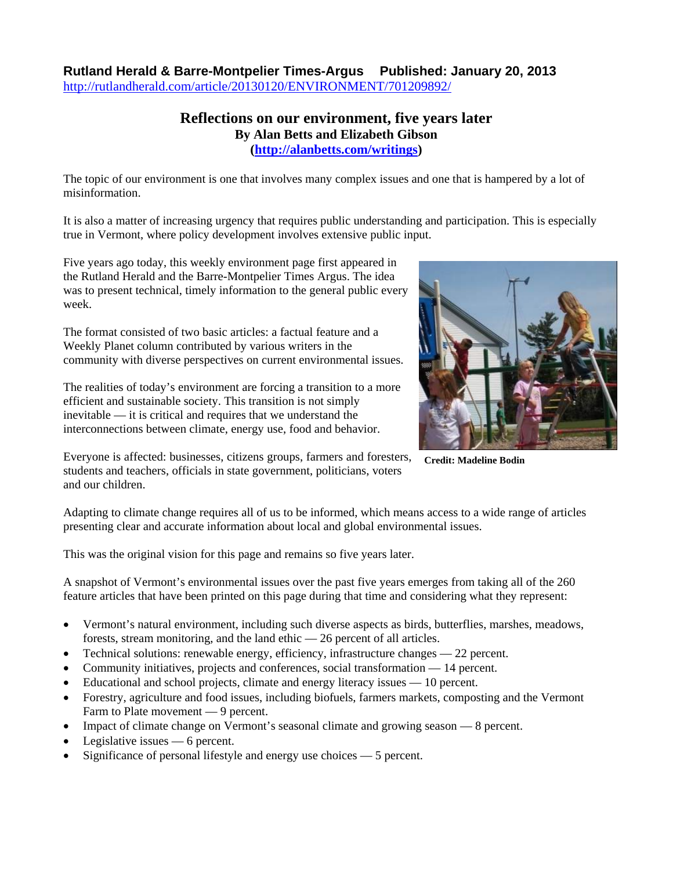## **Rutland Herald & Barre-Montpelier Times-Argus Published: January 20, 2013** <http://rutlandherald.com/article/20130120/ENVIRONMENT/701209892/>

## **Reflections on our environment, five years later By Alan Betts and Elizabeth Gibson (<http://alanbetts.com/writings>)**

The topic of our environment is one that involves many complex issues and one that is hampered by a lot of misinformation.

It is also a matter of increasing urgency that requires public understanding and participation. This is especially true in Vermont, where policy development involves extensive public input.

Five years ago today, this weekly environment page first appeared in the Rutland Herald and the Barre-Montpelier Times Argus. The idea was to present technical, timely information to the general public every week.

The format consisted of two basic articles: a factual feature and a Weekly Planet column contributed by various writers in the community with diverse perspectives on current environmental issues.

The realities of today's environment are forcing a transition to a more efficient and sustainable society. This transition is not simply inevitable — it is critical and requires that we understand the interconnections between climate, energy use, food and behavior.

Everyone is affected: businesses, citizens groups, farmers and foresters, students and teachers, officials in state government, politicians, voters and our children.



**Credit: Madeline Bodin** 

Adapting to climate change requires all of us to be informed, which means access to a wide range of articles presenting clear and accurate information about local and global environmental issues.

This was the original vision for this page and remains so five years later.

A snapshot of Vermont's environmental issues over the past five years emerges from taking all of the 260 feature articles that have been printed on this page during that time and considering what they represent:

- Vermont's natural environment, including such diverse aspects as birds, butterflies, marshes, meadows, forests, stream monitoring, and the land ethic — 26 percent of all articles.
- Technical solutions: renewable energy, efficiency, infrastructure changes 22 percent.
- Community initiatives, projects and conferences, social transformation 14 percent.
- Educational and school projects, climate and energy literacy issues 10 percent.
- Forestry, agriculture and food issues, including biofuels, farmers markets, composting and the Vermont Farm to Plate movement — 9 percent.
- Impact of climate change on Vermont's seasonal climate and growing season 8 percent.
- Legislative issues 6 percent.
- Significance of personal lifestyle and energy use choices 5 percent.